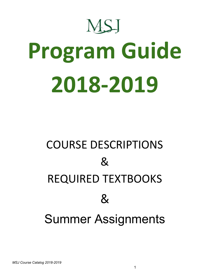

# **Program Guide 2018-2019**

# COURSE DESCRIPTIONS  $\mathcal{R}_{\mathcal{L}}$ REQUIRED TEXTBOOKS  $\mathcal{R}_{\mathcal{L}}$ Summer Assignments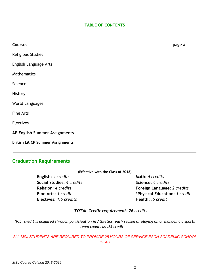# **TABLE OF CONTENTS**

| <b>Courses</b>                           | page # |
|------------------------------------------|--------|
| Religious Studies                        |        |
| English Language Arts                    |        |
| Mathematics                              |        |
| Science                                  |        |
| History                                  |        |
| World Languages                          |        |
| Fine Arts                                |        |
| Electives                                |        |
| AP English Summer Assignments            |        |
| <b>British Lit CP Summer Assignments</b> |        |
|                                          |        |

# **Graduation Requirements**

**English:** *4 credits* **Math:** *4 credits* **Social Studies:** *4 credits* **Science:** *4 credits* **Electives: 1.5 credits** 

**Religion:** *4 credits* **Foreign Language:** *2 credits* **Fine Arts:** *1 credit* **\*Physical Education:** *1 credit*

# *TOTAL Credit requirement: 26 credits*

\*P.E. credit is acquired through participation in Athletics; each season of playing on or managing a sports *team counts as .25 credit.*

# *ALL MSJ STUDENTS ARE REQUIRED TO PROVIDE 25 HOURS OF SERVICE EACH ACADEMIC SCHOOL YEAR*

2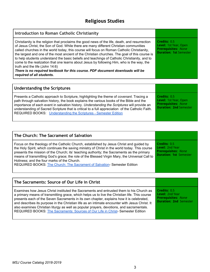# **Religious Studies**

| Introduction to Roman Catholic Christianity                                                                                                                                                                                                                                                                                                                                                                                                                                                                                                                                                                                                                                                                                         |                                                                                                             |
|-------------------------------------------------------------------------------------------------------------------------------------------------------------------------------------------------------------------------------------------------------------------------------------------------------------------------------------------------------------------------------------------------------------------------------------------------------------------------------------------------------------------------------------------------------------------------------------------------------------------------------------------------------------------------------------------------------------------------------------|-------------------------------------------------------------------------------------------------------------|
| Christianity is the religion that proclaims the good news of the life, death, and resurrection<br>of Jesus Christ, the Son of God. While there are many different Christian communities<br>called churches in the world today, this course will focus on Roman Catholic Christianity,<br>the largest and one of the most ancient of the Christian churches. The goal of this course is<br>to help students understand the basic beliefs and teachings of Catholic Christianity, and to<br>come to the realization that one learns about Jesus by following Him, who is the way, the<br>truth and the life (John 14:6)<br>There is no required textbook for this course. PDF document downloads will be<br>required of all students. | Credits: 0.5<br><b>Level: 1st Year, Open</b><br><b>Prerequisites: None</b><br><b>Duration: 1st Semester</b> |
| <b>Indoretanding the Cerintures</b>                                                                                                                                                                                                                                                                                                                                                                                                                                                                                                                                                                                                                                                                                                 |                                                                                                             |

| Understanding the Scriptures                                                                                                                                                                                                                                                                                                                                                                                                                                       |                                                                                                             |
|--------------------------------------------------------------------------------------------------------------------------------------------------------------------------------------------------------------------------------------------------------------------------------------------------------------------------------------------------------------------------------------------------------------------------------------------------------------------|-------------------------------------------------------------------------------------------------------------|
| Presents a Catholic approach to Scripture, highlighting the theme of <i>covenant</i> . Tracing a<br>path through salvation history, the book explains the various books of the Bible and the<br>importance of each event in salvation history. Understanding the Scriptures will provide an<br>understanding of Sacred Scripture that is critical to a full appreciation of the Catholic Faith.<br>REQUIRED BOOKS: Understanding the Scriptures - Semester Edition | Credits: 0.5<br><b>Level: 1st Year, Open</b><br><b>Prerequisites: None</b><br><b>Duration: 2nd Semester</b> |

| The Church: The Sacrament of Salvation                                                                                                                                                                                                                                                                                                                                                                                                                                                                             |                                                                                                |
|--------------------------------------------------------------------------------------------------------------------------------------------------------------------------------------------------------------------------------------------------------------------------------------------------------------------------------------------------------------------------------------------------------------------------------------------------------------------------------------------------------------------|------------------------------------------------------------------------------------------------|
| Focus on the theology of the Catholic Church, established by Jesus Christ and guided by<br>the Holy Spirit, which continues the saving ministry of Christ in the world today. This course<br>presents the mission of the Church; its' teaching authority; the Sacraments as the primary<br>means of transmitting God's grace; the role of the Blessed Virgin Mary, the Universal Call to<br>Holiness; and the four marks of the Church.<br>REQUIRED BOOKS: The Church: The Sacrament of Salvation-Semester Edition | Credits: 0.5<br>Level: 2nd Year<br><b>Prerequisites: None</b><br><b>Duration: 1st Semester</b> |

| The Sacraments: Source of Our Life in Christ                                                                                                                                                                                                                                                                                                                                                                                                                                                                                                                         |                                                                                                |
|----------------------------------------------------------------------------------------------------------------------------------------------------------------------------------------------------------------------------------------------------------------------------------------------------------------------------------------------------------------------------------------------------------------------------------------------------------------------------------------------------------------------------------------------------------------------|------------------------------------------------------------------------------------------------|
| Examines how Jesus Christ instituted the Sacraments and entrusted them to his Church as<br>a primary means of transmitting grace, which helps us to live the Christian life. This course<br>presents each of the Seven Sacraments in its own chapter, explains how it is celebrated,<br>and describes its purpose in the Christian life as an intimate encounter with Jesus Christ. It<br>also examines Christian liturgy as well as popular prayers, devotions, and sacramentals.<br>REQUIRED BOOKS: The Sacraments: Sources of Our Life in Christ-Semester Edition | Credits: 0.5<br>Level: 2nd Year<br><b>Prerequisites: None</b><br><b>Duration: 2nd Semester</b> |

 $\overline{\phantom{a}}$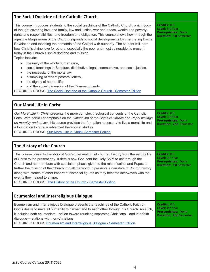# **The Social Doctrine of the Catholic Church**

This course introduces students to the social teachings of the Catholic Church, a rich body of thought covering love and family, law and justice, war and peace, wealth and poverty, rights and responsibilities, and freedom and obligation. This course shows how through the ages the Magisterium of the Church responds to social developments by interpreting Divine Revelation and teaching the demands of the Gospel with authority. The student will learn how Christ's divine love for others, especially the poor and most vulnerable, is present today in the Church's social doctrine and mission. Topics include:

- the unity of the whole human race,
- social teachings in Scripture, distributive, legal, commutative, and social justice,
- the necessity of the moral law,
- a sampling of recent pastoral letters,
- the dignity of human life,
- and the social dimension of the Commandments.

REQUIRED BOOKS: The Social Doctrine of the Catholic Church - [Semester](http://www.theologicalforum.org/ProductInformation.aspx?BrowseBy=WhatsNew&CategoryId=0&ProductId=489) Edition

| Our Moral Life in Christ                                                                                                                                                                                                                                                                                                                                                                                     |                                                                                                       |
|--------------------------------------------------------------------------------------------------------------------------------------------------------------------------------------------------------------------------------------------------------------------------------------------------------------------------------------------------------------------------------------------------------------|-------------------------------------------------------------------------------------------------------|
| Our Moral Life in Christ presents the more complex theological concepts of the Catholic<br>Faith. With particular emphasis on the Catechism of the Catholic Church and Papal writings<br>on morality and ethics, this course provides the formation necessary to live a moral life and<br>a foundation to pursue advanced theological studies.<br>REQUIRED BOOKS: Our Moral Life in Christ, Semester Edition | Credits: 0.5<br><b>Level: 3rd Year</b><br><b>Prerequisites: None</b><br><b>Duration: 2nd Semester</b> |

# **The History of the Church**

| This course presents the story of God's intervention into human history from the earthly life<br>of Christ to the present day. It details how God sent the Holy Spirit to act through the<br>Church and her members with special emphasis given to the role of saints and Popes to<br>further the mission of the Church into all the world. It presents a narrative of Church history<br>along with stories of other important historical figures as they became interwoven with the<br>events they helped to shape.<br>REQUIRED BOOKS: The History of the Church - Semester Edition | Credits: 0.5<br><b>Level: 4th Year</b><br><b>Prerequisites: None</b><br><b>Duration: 1st Semester</b> |
|--------------------------------------------------------------------------------------------------------------------------------------------------------------------------------------------------------------------------------------------------------------------------------------------------------------------------------------------------------------------------------------------------------------------------------------------------------------------------------------------------------------------------------------------------------------------------------------|-------------------------------------------------------------------------------------------------------|
|                                                                                                                                                                                                                                                                                                                                                                                                                                                                                                                                                                                      |                                                                                                       |

| <b>Ecumenical and Interreligious Dialogue</b>                                                                                                                                                                                                                                                                                                                                                          |                                                                                                |
|--------------------------------------------------------------------------------------------------------------------------------------------------------------------------------------------------------------------------------------------------------------------------------------------------------------------------------------------------------------------------------------------------------|------------------------------------------------------------------------------------------------|
| Ecumenism and Interreligious Dialogue presents the teachings of the Catholic Faith on<br>God's desire to unite all humanity to himself and to each other through his Church. As such,<br>it includes both ecumenism—action toward reuniting separated Christians—and interfaith<br>dialogue-relations with non-Christians.<br>REQUIRED BOOKS: Ecumenism and Interreligious Dialogue - Semester Edition | Credits: 0.5<br>Level: 4th Year<br><b>Prerequisites: None</b><br><b>Duration: 2nd Semester</b> |

**Credits:** 0.5 **Level:** 3rd Year **Prerequisites:** None **Duration: 1st** Semester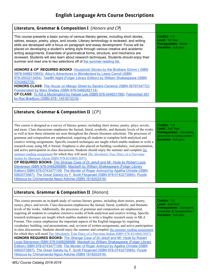# **English Language Arts Course Descriptions**

| Literature, Grammar & Composition I [Honors and CP]                                                                                                                                                                                                                                                                                                                                                                                                                                                                                                                                                                                                                                                                                                                                                                                                                                                                                                                                                                                                                                                                                                                                                                                                                                                                |                                                                                                                                   |
|--------------------------------------------------------------------------------------------------------------------------------------------------------------------------------------------------------------------------------------------------------------------------------------------------------------------------------------------------------------------------------------------------------------------------------------------------------------------------------------------------------------------------------------------------------------------------------------------------------------------------------------------------------------------------------------------------------------------------------------------------------------------------------------------------------------------------------------------------------------------------------------------------------------------------------------------------------------------------------------------------------------------------------------------------------------------------------------------------------------------------------------------------------------------------------------------------------------------------------------------------------------------------------------------------------------------|-----------------------------------------------------------------------------------------------------------------------------------|
| This course presents a basic survey of various literary genres, including short stories,<br>satires, essays, poetry, plays, and novels. Literary terminology is reviewed, and writing<br>skills are developed with a focus on paragraph and essay development. Focus will be<br>placed on developing a student's writing style through various creative and academic<br>writing assignments. Essentials of grammatical forms, structure, and mechanics are<br>reviewed. Students will also learn about research techniques. Students should enjoy their<br>summer and read one to two selections off of the summer reading list.                                                                                                                                                                                                                                                                                                                                                                                                                                                                                                                                                                                                                                                                                   | Credits: 1.0<br>Level: 1st Year<br><b>Prerequisites: None</b><br><b>Duration: Full year</b>                                       |
| <b>HONORS &amp; CP REQUIRED BOOKS: Household Stories by the Brothers Grimm (ISBN</b><br>0978-0486210803); Alice's Adventures in Wonderland by Lewis Carroll (ISBN<br>978-0553213454); Twelfth Night (Folger Library Edition) by William Shakespeare (ISBN<br>0743482778)<br>HONORS CLASS: The House on Mango Street by Sandra Cisneros (ISBN 0679734772);<br>Frankenstein by Mary Shelley (ISBN 978-0486282114)<br>CP CLASS: To Kill a Mockingbird by Harper Lee (ISBN 978-044631789); Fahrenheit 451<br>by Ray Bradbury (ISBN 978-1451673319);                                                                                                                                                                                                                                                                                                                                                                                                                                                                                                                                                                                                                                                                                                                                                                    |                                                                                                                                   |
|                                                                                                                                                                                                                                                                                                                                                                                                                                                                                                                                                                                                                                                                                                                                                                                                                                                                                                                                                                                                                                                                                                                                                                                                                                                                                                                    |                                                                                                                                   |
| Literature, Grammar & Composition II $[CP]$                                                                                                                                                                                                                                                                                                                                                                                                                                                                                                                                                                                                                                                                                                                                                                                                                                                                                                                                                                                                                                                                                                                                                                                                                                                                        |                                                                                                                                   |
| This course is designed as a survey of literary genres, including short stories, poetry, plays, novels,<br>and more. Class discussions emphasize the factual, literal, symbolic, and thematic levels of the works<br>as well as how these elements are seen throughout the chosen literature selections. The processes of<br>grammar and composition are emphasized, requiring all students to complete both analytical and<br>creative writing assignments. Specific research techniques are taught which enable students to write a<br>research essay using MLA format. Emphasis is also placed on building vocabulary, oral presentation,<br>and active participation in class discussions. Students should enjoy the summer and complete the<br>summer reading assignment for which they will need <i>The Absolutely True Diary of a Part-time</i><br>Indian by Sherman Alexie ISBN 978-03106013697).<br>CP REQUIRED BOOKS: The Strange Case of Dr. Jekyll and Mr. Hyde by Robert Louis<br>Stevenson ISBN 978-0486266886; Macbeth by William Shakespeare (Folger Library<br>Edition) ISBN 978-0743477109; The Murder of Roger Ackroyd by Agatha Christie (ISBN<br>0062073567); The Great Gatsby by F. Scott Fitzgerald (ISBN 978-0743273565); Purple<br>Hibiscus by Chimamanda Ngozi Adichie (ISBN 1616202416) | Credits: 1.0<br>Level: 2nd Year<br>Prerequisites: Literature,<br><b>Grammar &amp; Composition I</b><br><b>Duration: Full year</b> |

# **Literature, Grammar & Composition II** [Honors]

This course presents an in-depth study of various literary genres, including short stories, poetry, essays, plays, and novels. Class discussion emphasizes the factual, literal, symbolic, and thematic levels of the works. Additionally, the processes of grammar and composition are emphasized, requiring all students to complete extensive works of both analytical and creative writing. Specific research techniques are taught which enables students to write a lengthy research essay in MLA Format. This course emphasizes the important aspects of the English language by requiring vocabulary building, oral presentations, and, revision of written assignments, and active participation in class discussions. Students should enjoy the summer and complete the summer reading [assignment](https://drive.google.com/file/d/1eDKUnEzIapT49-RBSAdhT_kT2zcFOYUJ/view?usp=sharing) for which they will need The Absolutely True Diary of a Part-time Indian ISBN [978-03106013697\).](https://www.amazon.com/Absolutely-True-Diary-Part-Time-Indian/dp/0316013692/ref=sr_1_1?s=books&ie=UTF8&qid=1497880901&sr=1-1&keywords=9780316013697) **HONORS REQUIRED BOOKS:** *The Strange Case of [Dr.Jekyll](https://www.amazon.com/s/ref=nb_sb_noss?url=search-alias%3Dstripbooks&field-keywords=978-0486266886) and Mr. Hyde* by [Robert](https://www.amazon.com/s/ref=nb_sb_noss?url=search-alias%3Dstripbooks&field-keywords=978-0486266886) Louis Stevenson ISBN [978-0486266886;](https://www.amazon.com/s/ref=nb_sb_noss?url=search-alias%3Dstripbooks&field-keywords=978-0486266886) *[Macbeth](https://www.amazon.com/Macbeth-Folger-Shakespeare-Library-William/dp/0743477103/ref=sr_1_1?s=books&ie=UTF8&qid=1529535896&sr=1-1&keywords=9780743477109&dpID=51wjSW5Y8sL&preST=_SY291_BO1,204,203,200_QL40_&dpSrc=srch)* by William [Shakespeare](https://www.amazon.com/Macbeth-Folger-Shakespeare-Library-William/dp/0743477103/ref=sr_1_1?s=books&ie=UTF8&qid=1529535896&sr=1-1&keywords=9780743477109&dpID=51wjSW5Y8sL&preST=_SY291_BO1,204,203,200_QL40_&dpSrc=srch) (Folger Library Edition) ISBN [978-0743477109;](https://www.amazon.com/Macbeth-Folger-Shakespeare-Library-William/dp/0743477103/ref=sr_1_1?s=books&ie=UTF8&qid=1529535896&sr=1-1&keywords=9780743477109&dpID=51wjSW5Y8sL&preST=_SY291_BO1,204,203,200_QL40_&dpSrc=srch) *The Murder of Roger [Ackroyd](https://www.amazon.com/Murder-Roger-Ackroyd-Hercule-Mysteries/dp/0062073567/ref=sr_1_1?s=books&ie=UTF8&qid=1529535558&sr=1-1&keywords=the+murder+of+roger+ackroyd&dpID=512NfpWF5iL&preST=_SY291_BO1,204,203,200_QL40_&dpSrc=srch)* by Agatha [Christie](https://www.amazon.com/Murder-Roger-Ackroyd-Hercule-Mysteries/dp/0062073567/ref=sr_1_1?s=books&ie=UTF8&qid=1529535558&sr=1-1&keywords=the+murder+of+roger+ackroyd&dpID=512NfpWF5iL&preST=_SY291_BO1,204,203,200_QL40_&dpSrc=srch) (ISBN [0062073567\)](https://www.amazon.com/Murder-Roger-Ackroyd-Hercule-Mysteries/dp/0062073567/ref=sr_1_1?s=books&ie=UTF8&qid=1529535558&sr=1-1&keywords=the+murder+of+roger+ackroyd&dpID=512NfpWF5iL&preST=_SY291_BO1,204,203,200_QL40_&dpSrc=srch); *The Great [Gatsby](https://www.amazon.com/Great-Gatsby-F-Scott-Fitzgerald/dp/0743273567/ref=sr_1_1?s=books&ie=UTF8&qid=1497881374&sr=1-1&keywords=9780743273565)* by F. Scott Fitzgerald (ISBN [978-0743273565\);](https://www.amazon.com/Great-Gatsby-F-Scott-Fitzgerald/dp/0743273567/ref=sr_1_1?s=books&ie=UTF8&qid=1497881374&sr=1-1&keywords=9780743273565) *[Purple](https://www.amazon.com/Purple-Hibiscus-Chimamanda-Ngozi-Adichie/dp/1616202416/ref=tmm_pap_swatch_0?_encoding=UTF8&qid=&sr=) [Hibiscus](https://www.amazon.com/Purple-Hibiscus-Chimamanda-Ngozi-Adichie/dp/1616202416/ref=tmm_pap_swatch_0?_encoding=UTF8&qid=&sr=)* by [Chimamanda](https://www.amazon.com/Purple-Hibiscus-Chimamanda-Ngozi-Adichie/dp/1616202416/ref=tmm_pap_swatch_0?_encoding=UTF8&qid=&sr=) Ngozi Adichie (ISBN [1616202416\)](https://www.amazon.com/Purple-Hibiscus-Chimamanda-Ngozi-Adichie/dp/1616202416/ref=tmm_pap_swatch_0?_encoding=UTF8&qid=&sr=)

**Credits:** 1.0 **Level:** 2nd Year **Prerequisites:** Literature, Grammar & Composition I **Duration:** Full year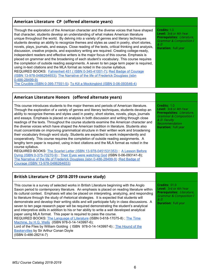| American Literature CP (offered alternate years)                                                                                                                                                                                                                                                                                                                                                                                                                                                                                                                                                                                                                                                                                                                                                                                                                                                                                                                                                                                                                                                                                                                                                                              |                                                                                                                                                              |
|-------------------------------------------------------------------------------------------------------------------------------------------------------------------------------------------------------------------------------------------------------------------------------------------------------------------------------------------------------------------------------------------------------------------------------------------------------------------------------------------------------------------------------------------------------------------------------------------------------------------------------------------------------------------------------------------------------------------------------------------------------------------------------------------------------------------------------------------------------------------------------------------------------------------------------------------------------------------------------------------------------------------------------------------------------------------------------------------------------------------------------------------------------------------------------------------------------------------------------|--------------------------------------------------------------------------------------------------------------------------------------------------------------|
| Through the exploration of the American character and the diverse voices that have shaped<br>that character, students develop an understanding of what makes American literature<br>unique throughout the world. By delving into a variety of genres and literary techniques<br>students develop an ability to recognize themes and styles as used in poetry, short stories,<br>novels, plays, journals, and essays. Close reading of the texts, critical thinking and analysis,<br>discussion, creative projects, and expository writing are required. Creating college-ready,<br>independent readers and effective writers is the major focus of this course. Emphasis is<br>placed on grammar and the broadening of each student's vocabulary. This course requires<br>the completion of outside reading assignments. A seven to ten page term paper is required,<br>using in-text citations and the MLA format as noted in the course syllabus.<br>REQUIRED BOOKS: Fahrenheit 451 (ISBN 0-345-41001-7); Red Badge of Courage<br>(ISBN 13-978-0486264653); The Narrative of the life of Frederick Douglass (isbn<br>$0 - 486 - 28499 - 9$<br>The Crucible (ISBN 0-395-77551-5); To Kill a Mockingbird (ISBN 0-06-093546-4) | Credits: 1.0<br>Level: 3rd or 4th Year<br>Prerequisites: Literature,<br><b>Grammar &amp; Composition I</b><br>$\mathcal{L}$ II<br><b>Duration: Full year</b> |

### **American Literature Honors (offered alternate years)** This course introduces students to the major themes and periods of American literature. Through the exploration of a variety of genres and literary techniques, students develop an ability to recognize themes and styles used in poetry, short stories, novels, plays, journals and essays. Emphasis is placed on analysis in both discussion and writing through close readings of the texts. Throughout the course students examine the American character and the diverse voices which have shaped the American tradition in literature. Students also must concentrate on improving grammatical structure in their written work and broadening their vocabulary through word study. Students are expected to work independently and cooperatively. This course requires the completion of outside reading assignments. A lengthy term paper is required, using in-text citations and the MLA format as noted in the course syllabus. REQUIRED BOOKS: The Scarlet Letter (ISBN [13-978-0451531353\)](https://www.thriftbooks.com/w/the-scarlet-letter-by-nathaniel-hawthorne-ellery-queen/250935/?utm_source=cj&utm_content=3402831&utm_term=12352730#isbn=0451531353); A [Lesson](https://www.amazon.com/s/ref=nb_sb_noss?url=search-alias%3Daps&field-keywords=0-375-70270-9) Before Dying (ISBN [0-375-70270-9\)](https://www.amazon.com/s/ref=nb_sb_noss?url=search-alias%3Daps&field-keywords=0-375-70270-9) ; Their Eyes were [watching](https://www.amazon.com/s/ref=nb_sb_noss?url=search-alias%3Dstripbooks&field-keywords=0-06-093141-8&rh=n%3A283155%2Ck%3A0-06-093141-8) God (ISBN 0-06-093141-8); The Narrative of the life of Frederick Douglass (isbn [0-486-28499-9\)](https://www.amazon.com/s/ref=nb_sb_noss?url=search-alias%3Dstripbooks&field-keywords=0-48628499-9&rh=n%3A283155%2Ck%3A0-48628499-9) ;Red [Badge](https://www.thriftbooks.com/w/the-red-badge-of-courage_stephen-crane/289095/#isbn=0486264653) of Courage (ISBN [13-978-0486264653\)](https://www.thriftbooks.com/w/the-red-badge-of-courage_stephen-crane/289095/#isbn=0486264653) **Credits:** 1.0 **Level:** 3rd or 4th Year **Prerequisites:** Literature, Grammar & Composition I & II- Faculty Recommendation **Duration:** Full year

| British Literature CP (2018-2019 course study)                                                                                                                                                                                                                                                                                                                                                                                                                                                                                                                                                                                                                                                                                                                                                                                                                                                                                                                                                                                                              |                                                                                                                                                          |
|-------------------------------------------------------------------------------------------------------------------------------------------------------------------------------------------------------------------------------------------------------------------------------------------------------------------------------------------------------------------------------------------------------------------------------------------------------------------------------------------------------------------------------------------------------------------------------------------------------------------------------------------------------------------------------------------------------------------------------------------------------------------------------------------------------------------------------------------------------------------------------------------------------------------------------------------------------------------------------------------------------------------------------------------------------------|----------------------------------------------------------------------------------------------------------------------------------------------------------|
| This course is a survey of selected works in British Literature beginning with the Anglo<br>Saxon period to contemporary literature. An emphasis is placed on reading literature within<br>its cultural context. Emphasis will also be placed on interpreting, analyzing, and responding<br>to literature through the study of rhetorical strategies. It is expected that students will<br>demonstrate and develop their writing skills and will participate fully in class discussions. A<br>seven to ten page research paper will be required demonstrating the student's analytical<br>and interpretive skills in addition to his or her ability to write a well developed analytical<br>paper using MLA format. This paper is required to pass the course.<br>REQUIRED BOOKS: The Language of Literature (ISBN 0-618-17075-8); The Time<br>Machine, by H.G. Wells (ISBN 978-0-14-143997-6);<br>Lord of the Flies by William Golding (ISBN 978-0-14-143997-6); The Hound of the<br><b>Baskervilles by Sir Arthur Conan Doyle</b><br>(ISBN 0-486-28214-7) | Credits: 01.0<br><b>Level:</b> 3rd or 4th Year<br>Prerequisites: Literature,<br><b>Grammar &amp; Composition I</b><br>& II<br><b>Duration: Full year</b> |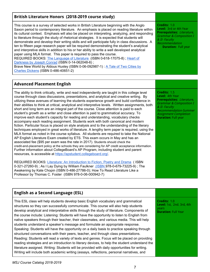# **British Literature Honors (2018-2019 course study)**

This course is a survey of selected works in British Literature beginning with the Anglo Saxon period to contemporary literature. An emphasis is placed on reading literature within its cultural context. Emphasis will also be placed on interpreting, analyzing, and responding to literature through the study of rhetorical strategies. It is expected that students will demonstrate and develop their writing skills and will participate fully in class discussions. A ten to fifteen page research paper will be required demonstrating the student's analytical and interpretive skills in addition to his or her ability to write a well developed analytical paper using MLA format. This paper is required to pass the course. REQUIRED BOOKS: The [Language](https://www.amazon.com/s/ref=nb_sb_noss?url=search-alias%3Dstripbooks&field-keywords=0-618-17075-8&rh=n%3A283155%2Ck%3A0-618-17075-8) of Literature (ISBN 0-618-17075-8); [Heart](https://www.amazon.com/s/ref=nb_sb_noss?url=search-alias%3Dstripbooks&field-keywords=978-0140186529&rh=n%3A283155%2Ck%3A978-0140186529) of [Darkness](https://www.amazon.com/s/ref=nb_sb_noss?url=search-alias%3Dstripbooks&field-keywords=978-0140186529&rh=n%3A283155%2Ck%3A978-0140186529) by Joseph Conrad (ISBN 0-14-062048-6) ; Brave New World by Aldous Huxley (ISBN 0-06-092987-1) : A Tale of Two [Cities](https://www.amazon.com/s/ref=nb_sb_noss?url=search-alias%3Dstripbooks&field-keywords=486-40651-2&rh=n%3A283155%2Ck%3A486-40651-2) by

Charles [Dickens](https://www.amazon.com/s/ref=nb_sb_noss?url=search-alias%3Dstripbooks&field-keywords=486-40651-2&rh=n%3A283155%2Ck%3A486-40651-2) (ISBN 0-486-40651-2)

# **Advanced Placement English**

The ability to think critically, write and read independently are taught in this college level course through class discussions, presentations, and analytical and creative writing. By utilizing these avenues of learning the students experience growth and build confidence in their abilities to think at critical, analytical and interpretive levels. Written assignments, both short and long term are an integral part of the course. Close attention is paid to each student's growth as a writer and close attention is paid to grammatical accuracy. To improve each student's capacity for reading and understanding, vocabulary checks accompany each reading assignment. Students work with both canonical and modern fiction. Particular focus is placed on style analysis and to the understanding of the literary techniques employed in great works of literature. A lengthy term paper is required, using the MLA format as noted in the course syllabus. All students are required to take the National AP English Literature Exam created by ETS. This exam occurs in May and has an associated fee (\$95 per exam was the rate in 2017). Students should check the credit-and-placement policy at the schools they are considering for AP credit acceptance information. Further information about CollegeBoard's AP Program, including student and parent resources, is accessible at <https://apstudent.collegeboard.org/>.

REQUIRED BOOKS: Literature: An [Introduction](https://www.amazon.com/s/ref=nb_sb_noss?url=search-alias%3Dstripbooks&field-keywords=0-321-24551-2) to Fiction, Poetry and Drama ( ISBN 0-321-27260-9); As I Lay Dying by William Faulkner [\(ISBN](https://www.amazon.com/s/ref=nb_sb_noss?url=search-alias%3Daps&field-keywords=0-375-70270-9) 978-0-679-73225-9); The Awakening by Kate Chopin (ISBN 0-486-27786-0); How To Read Literature Like a Professor by Thomas C. Foster (ISBN 978-0-06-000942-7)

**Credits:** 1.0 **Level:** 3rd or 4th Year **Prerequisites:** Literature, Grammar & Composition I & II- Faculty Recommendation **Duration:** Full year

**Credits:** 1.5 **Level:** 4th Year **Prerequisites:**  Literature, Grammar & Composition I & II- Faculty Recommendation-Summer Assignment Completion **Duration:** Full year

# **English as a Second Language (ESL)**

This ESL class will help students develop basic English vocabulary and grammatical structures so they can successfully communicate. This course will also help students develop analytical and interpretative skills through the study of literature. Components of the course include: Listening: Students will have the opportunity to listen to English from native speakers through their teacher, their classmates, and various media. This will help students understand a speaker's message and formulate an appropriate response. Speaking: Students will have the opportunity on a daily basis to practice speaking through structured conversations with their peers, teacher, and through class presentations. Reading: Students will read a variety of texts and genres. Focus will be placed on providing reading strategies and an introduction to literary devices, to help the student understand the literature assigned. Writing: Students will be provided with daily opportunities for writing. Writing will include both academic writing (essays, reflections, personal narratives, and

**Credits:** 1.0 **Level:** 1st, 2nd. 3rd, 4th years **Duration:** Full Year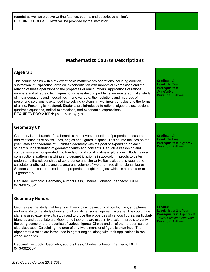reports) as well as creative writing (stories, poems, and descriptive writing). REQUIRED BOOKS: Texts will be provided by the instructor.

# **Mathematics Course Descriptions**

| Algebra I                                                                                                                                                                                                                                                                                                                                                                                                                                                                                                                                                                                                                                                                                                                                                                           |                                                                                                              |
|-------------------------------------------------------------------------------------------------------------------------------------------------------------------------------------------------------------------------------------------------------------------------------------------------------------------------------------------------------------------------------------------------------------------------------------------------------------------------------------------------------------------------------------------------------------------------------------------------------------------------------------------------------------------------------------------------------------------------------------------------------------------------------------|--------------------------------------------------------------------------------------------------------------|
| This course begins with a review of basic mathematics operations including addition,<br>subtraction, multiplication, division, exponentiation with monomial expressions and the<br>relation of these operations to the properties of real numbers. Applications of rational<br>numbers and algebraic techniques to solve real-world problems are mastered. Initial study<br>of linear equations and inequalities in one variable, their solutions and methods of<br>presenting solutions is extended into solving systems in two linear variables and the forms<br>of a line. Factoring is mastered. Students are introduced to rational algebraic expressions,<br>quadratic equations, radical expressions, and exponential expressions.<br>REQUIRED BOOK: ISBN: 978-0-7891-8915-8 | Credits: 1.0<br><b>Level:</b> 1st Year<br><b>Prerequisites:</b><br>Pre-Algebra<br><b>Duration: Full year</b> |
|                                                                                                                                                                                                                                                                                                                                                                                                                                                                                                                                                                                                                                                                                                                                                                                     |                                                                                                              |
| <b>Geometry CP</b>                                                                                                                                                                                                                                                                                                                                                                                                                                                                                                                                                                                                                                                                                                                                                                  |                                                                                                              |
| Geometry is the branch of mathematics that covers deduction of properties, measurement<br>and relationships of points, lines, angles and figures in space. This course focuses on the                                                                                                                                                                                                                                                                                                                                                                                                                                                                                                                                                                                               | Credits: 1.0<br><b>Level: 2nd Year</b>                                                                       |

and relationships of points, lines, angles and figures in space. This course focuses on the postulates and theorems of Euclidean geometry with the goal of expanding on each student's understanding of geometric terms and concepts. Deductive reasoning and comparison are incorporated into hands-on and collaborative explorations. Students use constructions, pattern matching and geometric axioms in two-column proofs to better understand the relationships of congruence and similarity. Basic algebra is required to calculate length, radius, angles, area and volume of two and three dimensional figures. Students are also introduced to the properties of right triangles, which is a precursor to Trigonometry.

Required Textbook: Geometry, authors Bass, Charles, Johnson, Kennedy: ISBN 0-13-062560-4

### **Geometry Honors** Geometry is the study that begins with very basic definitions of points, lines, and planes, and extends to the study of any and all two dimensional figures in a plane. The coordinate plane is used extensively to study and to prove the properties of various figures, particularly triangles and quadrilaterals. Geometric theorems are used in two column proofs to verify the congruence or the properties of various figures. Circles and all of their properties are also discussed. Calculating the area of any two dimensional figure is examined. The trigonometric ratios are introduced in right triangles, along with their applications in real world scenarios. **Credits:** 1.0 **Level:** 1st or 2nd Year **Prerequisites:**  Algebra I & Teacher Recommendation **Duration:** Full year

Required Textbook: Geometry, authors Bass, Charles, Johnson, Kennedy; ISBN 0-13-062560-4

**Prerequisites:**  Algebra I **Duration:** Full year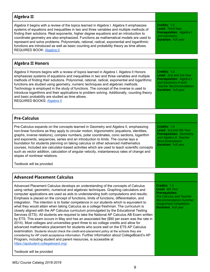### **Algebra II** Algebra II begins with a review of the topics learned in Algebra I. Algebra II emphasizes systems of equations and inequalities in two and three variables and multiple methods of finding their solutions. Real exponents, higher degree equations and an introduction to coordinate geometry are also emphasized. Functions as mathematical models are used to represent and solve problems. Polynomials, rational, radical, exponential and logarithmic functions are introduced as well as basic counting and probability theory as time allows. REQUIRED BOOK: [Algebra](https://www.amazon.com/Algebra-2-AMSCO/dp/1680644785/ref=sr_1_1?s=books&ie=UTF8&qid=1497886253&sr=1-1&keywords=9781680644784) II **Credits:** 1.0 **Level:** Third Year **Prerequisites:**  Algebra I and Geometry **Duration:** Full year **Algebra II Honors** Algebra II Honors begins with a review of topics learned in Algebra I. Algebra II Honors emphasizes systems of equations and inequalities in two and three variables and multiple methods of finding their solutions. Polynomial, rational, radical, exponential and logarithmic functions are studied using geometry, numeric techniques and algebraic methods. Technology is employed in the study of functions. The concept of the inverse is used to introduce logarithms and their applications to problem solving. Additionally, counting theory and basic probability are studied as time allows. REQUIRED BOOKS: [Algebra](https://www.amazon.com/Algebra-2-AMSCO/dp/1680644785/ref=sr_1_1?s=books&ie=UTF8&qid=1497886253&sr=1-1&keywords=9781680644784) II **Credits:** 1.0 **Level:** 2nd and 3rd Year **Prerequisites:**  Algebra I and Geometry H with Teacher Recommendation **Duration:** Full year **Pre-Calculus** Pre-Calculus expands on the concepts learned in Geometry and Algebra II, emphasizing non-linear functions as they apply to circular motion, trigonometric (equations, identities, graphs, inverse relations), complex numbers, polar coordinates, conic sections, logarithm and exponents, sequences, series and an introduction to limits. The course lays a foundation for students planning on taking calculus or other advanced mathematics courses. Included are calculator-based activities which are used to teach scientific concepts such as vector addition, calculation of angular velocity, instantaneous rates of change and slopes of nonlinear relations. Textbook will be provided **Credits:** 1.0 **Level:** 3rd and 4th Year **Prerequisites:**  Geometry and Algebra II- Teacher Recommendation **Duration:** Full year

# **Advanced Placement Calculus**

Advanced Placement Calculus develops an understanding of the concepts of Calculus using verbal, geometric, numerical and algebraic techniques. Graphing calculators and computer applications are used as aids to understanding both computations and results. Emphasis is placed on the concept of functions, limits of functions, differentiation, and integration. The intention is to foster competence in our students which is equivalent to what they would attain when taking Calculus as a college freshman. The curriculum is closely aligned with the AP Calculus curriculum promulgated by the Educational Testing Services (ETS). All students are required to take the National AP Calculus AB Exam written by ETS. This exam occurs in May and has an associated fee (\$90 per exam was the rate in 2014). Most colleges and universities grant three to six college credits and allow for advanced mathematics placement for students who score well on the ETS AP Calculus examination. Students should check the credit-and-placement policy at the schools they are considering for AP credit acceptance information. Further information about CollegeBoard's AP Program, including student and parent resources, is accessible at <https://apstudent.collegeboard.org/>.

Textbook will be provided

**Credits:** 1.5 **Level:** 4th Year **Prerequisites:**

Pre-Calculus and Teacher Recommendation-Summer Assignment Completion **Duration:** Full year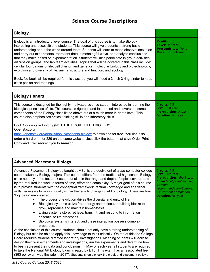# **Science Course Descriptions**

| <b>Biology</b>                                                                                                                                                                                                                                                                                                                                                                                                                                                                                                                                                                                                                                                                                                                                                                                                                                                                         |                                                                                             |
|----------------------------------------------------------------------------------------------------------------------------------------------------------------------------------------------------------------------------------------------------------------------------------------------------------------------------------------------------------------------------------------------------------------------------------------------------------------------------------------------------------------------------------------------------------------------------------------------------------------------------------------------------------------------------------------------------------------------------------------------------------------------------------------------------------------------------------------------------------------------------------------|---------------------------------------------------------------------------------------------|
| Biology is an introductory level course. The goal of this course is to make Biology<br>interesting and accessible to students. This course will give students a strong basic<br>understanding about the world around them. Students will learn to make observations, plan<br>and carry out experiments, represent data in meaningful ways, and analyze conclusions<br>that they make based on experimentation. Students will also participate in group activities,<br>discussion groups, and lab team activities. Topics that will be covered in this class include:<br>cellular foundations of life, cell division and genetics, molecular biology and biotechnology,<br>evolution and diversity of life, animal structure and function, and ecology.<br>Book: No book will be required for this class but you will need a 3 inch 3 ring binder to keep<br>class packet and readings. | Credits: 1.5<br>Level: 1st Year<br><b>Prerequisites: None</b><br><b>Duration: Full year</b> |
|                                                                                                                                                                                                                                                                                                                                                                                                                                                                                                                                                                                                                                                                                                                                                                                                                                                                                        |                                                                                             |

| <b>Biology Honors</b>                                                                                                                                                                                                                                                                                                                                      |                                                                                             |
|------------------------------------------------------------------------------------------------------------------------------------------------------------------------------------------------------------------------------------------------------------------------------------------------------------------------------------------------------------|---------------------------------------------------------------------------------------------|
| This course is designed for the highly motivated science student interested in learning the<br>biological principles of life. This course is rigorous and fast-paced and covers the same<br>components of the Biology class listed above but at a much more in-depth level. This<br>course also emphasizes critical thinking skills and laboratory skills. | Credits: 1.5<br>Level: 1st Year<br><b>Prerequisites: None</b><br><b>Duration: Full year</b> |
| Book:Concepts in Biology (NOT THE BOOK TITLED BIOLOGY)<br>Openstax.org<br>https://openstax.org/details/books/concepts-biology to download for free. You can also<br>order a hard print for \$29 on the same website. Just click the button that says Order Print<br>Copy and it will redirect you to Amazon                                                |                                                                                             |

| <b>Advanced Placement Biology</b>                                                                                                                                                                                                                                                                                                                                                                                                                                                                                                                                                                                                                                                                                                                                                                                                                                                                                                                                                                                                             |                                                                                                                                                                                                    |
|-----------------------------------------------------------------------------------------------------------------------------------------------------------------------------------------------------------------------------------------------------------------------------------------------------------------------------------------------------------------------------------------------------------------------------------------------------------------------------------------------------------------------------------------------------------------------------------------------------------------------------------------------------------------------------------------------------------------------------------------------------------------------------------------------------------------------------------------------------------------------------------------------------------------------------------------------------------------------------------------------------------------------------------------------|----------------------------------------------------------------------------------------------------------------------------------------------------------------------------------------------------|
| Advanced Placement Biology as taught at MSJ, is the equivalent of a two-semester college<br>course taken by Biology majors. This course differs from the traditional high school Biology<br>class not only in the textbook used, but also in the range and depth of topics covered and<br>by the required lab work in terms of time, effort and complexity. A major goal of this course<br>is to provide students with the conceptual framework, factual knowledge and analytical<br>skills necessary to work critically within the rapidly changing field of biology. There are four<br>"big ideas" emphasized:<br>The process of evolution drives the diversity and unity of life<br>Biological systems utilize free energy and molecular building blocks to<br>$\bullet$<br>grow, reproduce and maintain homeostasis<br>Living systems store, retrieve, transmit, and respond to information<br>$\bullet$<br>essential to life processes<br>Biological systems interact, and these interaction possess complex<br>$\bullet$<br>properties. | Credits: 1.5<br>Level: 4th Year<br><b>Prerequisites:</b> Bio & Lab,<br>Chem & Lab, Pre-Calculus,<br>Teacher<br>recommendation-Summer<br><b>Assignment Completion</b><br><b>Duration: Full year</b> |
| At the conclusion of this course students should not only have a strong understanding of<br>Biology but also be able to apply this knowledge to think critically. On top of this the College<br>Board requires student- directed laboratory investigations. Meaning students will learn to<br>design their own experiments and investigations, run the experiments and determine how<br>to best represent their data and conclusions. In May of each year all students are required<br>to take the National AP Biology Exam created by ETS. This exam has an associated fee<br>(\$93 per exam was the rate in 2017). Students should check the credit-and-placement policy at                                                                                                                                                                                                                                                                                                                                                                 |                                                                                                                                                                                                    |

*MSJ Course Catalog 2018-2019*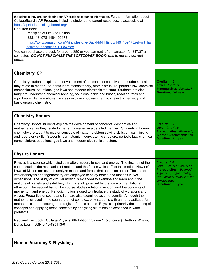| the schools they are considering for AP credit acceptance information. Further information about<br>CollegeBoard's AP Program, including student and parent resources, is accessible at<br>https://apstudent.collegeboard.org/ |  |
|--------------------------------------------------------------------------------------------------------------------------------------------------------------------------------------------------------------------------------|--|
| Required Book:                                                                                                                                                                                                                 |  |
| Principles of Life 2nd Edition                                                                                                                                                                                                 |  |
| ISBN-13: 978-1464109478                                                                                                                                                                                                        |  |
| https://www.amazon.com/Principles-Life-David-M-Hillis/dp/1464109478/ref=mt_har                                                                                                                                                 |  |
| dcover? encoding=UTF8&me=                                                                                                                                                                                                      |  |
| You can purchase the book for around \$80 or you can rent it from amazon for \$17.37 a<br>semester. DO NOT PURCHASE THE SOFTCOVER BOOK- this is not the correct<br>edition                                                     |  |

| <b>Chemistry CP</b>                                                                                                                                                                                                                                                                                                                                                                                                                                                                             |                                                                                                                                    |
|-------------------------------------------------------------------------------------------------------------------------------------------------------------------------------------------------------------------------------------------------------------------------------------------------------------------------------------------------------------------------------------------------------------------------------------------------------------------------------------------------|------------------------------------------------------------------------------------------------------------------------------------|
| Chemistry students explore the development of concepts, descriptive and mathematical as<br>they relate to matter. Students learn atomic theory, atomic structure, periodic law, chemical<br>nomenclature, equations, gas laws and modern electronic structure. Students are also<br>taught to understand chemical bonding, solutions, acids and bases, reaction rates and<br>equilibrium. As time allows the class explores nuclear chemistry, electrochemistry and<br>basic organic chemistry. | Credits: 1.5<br><b>Level: 2nd Year</b><br>Prerequisites: Algebra I<br><b>Duration: Full year</b>                                   |
|                                                                                                                                                                                                                                                                                                                                                                                                                                                                                                 |                                                                                                                                    |
| <b>Chemistry Honors</b>                                                                                                                                                                                                                                                                                                                                                                                                                                                                         |                                                                                                                                    |
| Chemistry Honors students explore the development of concepts, descriptive and<br>mathematical as they relate to matter, however, in a detailed manner. Students in honors<br>chemistry are taught to master concepts of matter, problem solving skills, critical thinking<br>and laboratory skills. Students learn atomic theory, atomic structure, periodic law, chemical<br>nomenclature, equations, gas laws and modern electronic structure.                                               | Credits: 1.5<br><b>Level: 2nd Year</b><br>Prerequisites: Algebra I,<br><b>Teacher Recommendation</b><br><b>Duration: Full year</b> |

# **Physics Honors**

Physics is a science which studies matter, motion, forces, and energy. The first half of the course studies the mechanics of motion, and the forces which affect this motion. Newton's Laws of Motion are used to analyze motion and forces that act on an object. The use of vector analysis and trigonometry are employed to study forces and motions in two dimensions. The study of circular motion is extended to examine and learn about the motions of planets and satellites, which are all governed by the force of gravitational attraction. The second half of the course studies rotational motion, and the concepts of momentum and energy. Periodic motion is used to introduce the study of vibrations and waves. Properties of sound and light are also examined as time permits. Although the mathematics used in the course are not complex, only students with a strong aptitude for mathematics are encouraged to register for this course. Physics is primarily the learning of concepts and applying those concepts by analyzing situations as described in word problems.

Required Textbook: College Physics, 6th Edition Volume 1 (softcover). Authors Wilson, Buffa, Lou. ISBN 0-13-195113-0

# **Human Anatomy & Physiology**

**Credits:** 1.0

concurrently) **Duration:** Full year

**Level:** 3rd Year, 4th Year **Prerequisites:**  Algebra I, Algebra II, Trigonometry, Pre-Calculus (may be taken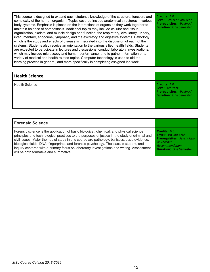This course is designed to expand each student's knowledge of the structure, function, and complexity of the human organism. Topics covered include anatomical structures in various body systems. Emphasis is placed on the interactions of organs as they work together to maintain balance of homeostasis. Additional topics may include cellular and tissue organization, skeletal and muscle design and function, the respiratory, circulatory, urinary, integumentary, endocrine, lymphatic, and the excretory and digestive systems. Pathology which is the study and effects of disease is integrated into the discussion of each of the systems. Students also receive an orientation to the various allied health fields. Students are expected to participate in lectures and discussions, conduct laboratory investigations, which may include microscopy and human performance, and to gather information on a variety of medical and health related topics. Computer technology is used to aid the learning process in general, and more specifically in completing assigned lab work. **Credits:** 1.0 **Level:** 3rd Year, 4th Year **Prerequisites:**  Algebra I **Duration:** One Semester

| Credits: 1.0<br>Level: 4th Year<br>Prerequisites: Algebra I<br><b>Duration: One Semester</b> |
|----------------------------------------------------------------------------------------------|
|                                                                                              |

| <b>Forensic Science</b>                                                                        |                                  |
|------------------------------------------------------------------------------------------------|----------------------------------|
| Forensic science is the application of basic biological, chemical, and physical science        | Credits: 0.5                     |
| principles and technological practices to the purposes of justice in the study of criminal and | Level: 3rd, 4th Year             |
| civil issues. Major themes of study in this course are pathology, ballistics, trace evidence,  | <b>Prerequisites:</b> Psychology |
| biological fluids, DNA, fingerprints, and forensic psychology. The class is student, and       | or Teacher                       |
| inquiry centered with a primary focus on laboratory investigations and writing. Assessment     | Recommendation                   |
| will be both formative and summative.                                                          | <b>Duration: One Semester</b>    |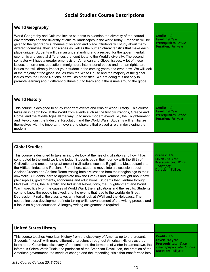# **World Geography**

World Geography and Cultures invites students to examine the diversity of the natural environments and the diversity of cultural landscapes in the world today. Emphasis will be given to the geographical themes of location and place. Students will study about many different countries, their landscapes as well as the human characteristics that make each place unique. Students will gain an understanding and a respect for the governmental, economic and societal differences that contribute to the World's diversity. The second semester will have a greater emphasis on American and Global issues. A lot of these issues, ie. terrorism, education, immigration, international peace and human rights, are issues that will directly impact your student in the coming years and even now. We will look at the majority of the global issues from the White House and the majority of the global issues from the United Nations, as well as other sites. We are doing this not only to promote learning about different cultures but to learn about the issues around the globe.

**Credits:** 1.0 **Level:** 1st Year **Prerequisites:**  None **Duration:** Full year

| <b>World History</b>                                                                                                                                                                                                                                                                                                                                                                                                                                                             |                                                                                             |
|----------------------------------------------------------------------------------------------------------------------------------------------------------------------------------------------------------------------------------------------------------------------------------------------------------------------------------------------------------------------------------------------------------------------------------------------------------------------------------|---------------------------------------------------------------------------------------------|
| This course is designed to study important events and eras of World History. This course<br>takes an in depth look at the World from events such as the first civilizations, Greece and<br>Rome, and the Middle Ages all the way up to more modern events, ie., the Enlightenment<br>and Revolutions, the Industrial Revolution and the World Wars. Students will familiarize<br>themselves with the important movers and shakers that played a role in developing the<br>modern | Credits: 1.0<br>Level: 1st Year<br><b>Prerequisites: None</b><br><b>Duration: Full year</b> |

| <b>Global Studies</b>                                                                                                                                                                                                                                                                                                                                                                                                                                                                                                                                                                                                                                                                                                                                                                                                                                                                                                                                                                                                                                                                                                                                                                              |                                                                                                           |
|----------------------------------------------------------------------------------------------------------------------------------------------------------------------------------------------------------------------------------------------------------------------------------------------------------------------------------------------------------------------------------------------------------------------------------------------------------------------------------------------------------------------------------------------------------------------------------------------------------------------------------------------------------------------------------------------------------------------------------------------------------------------------------------------------------------------------------------------------------------------------------------------------------------------------------------------------------------------------------------------------------------------------------------------------------------------------------------------------------------------------------------------------------------------------------------------------|-----------------------------------------------------------------------------------------------------------|
| This course is designed to take an intricate look at the rise of civilization and how it has<br>contributed to the world we know today. Students begin their journey with the Birth of<br>Civilization and encounter great ancient civilizations such as Egyptians, Mesopotamians,<br>the Hittites, Indus, and Persians. From there, students move into a discussion about<br>Ancient Greece and Ancient Rome tracing both civilizations from their beginnings to their<br>downfalls. Students learn to appreciate how the Greeks and Romans brought about new<br>philosophies, governments, economies and educations. Students then venture through<br>Medieval Times, the Scientific and Industrial Revolutions, the Enlightenment and World<br>War I; specifically on the causes of World War I, the implications and the results. Students<br>come to know the people involved, and the events that lead to the worldwide Great<br>Depression. Finally, the class takes an internal look at WWII and the Holocaust. The<br>course includes development of note taking skills, advancement of the writing process and<br>a focus on higher education. A lengthy writing assignment is required. | Credits: 1.0<br>Level: 2nd Year<br><b>Prerequisites: World</b><br>Geography<br><b>Duration: Full year</b> |

| <b>United States History</b>                                                                |                             |
|---------------------------------------------------------------------------------------------|-----------------------------|
| This course teaches American History from the discovery of America up to the present.       | $\Gamma$ Credits: 1.0       |
| Students "interact" with many different characters throughout American History as they      | Level: 3rd year             |
| learn about Columbus' discovery of the continent, the torments of winter in Jamestown, the  | <b>Prerequisites: World</b> |
| infamous Salem Witch Trials, the patriotism of the American Revolution, the creation of the | Geography & Global Studies  |
| American government, the seeds of change and the impending crisis that transformed into     | <b>Duration: Full year</b>  |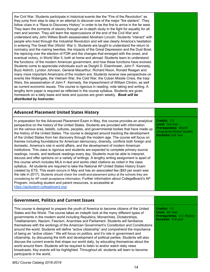the Civil War. Students participate in historical events like the "Fire of the Revolution" as they jump from step to step in an attempt to discover one of the major "fire starters". They follow clues in a "Race to Discovery History" in order to be the first to arrive in the far west. They learn the torments of slavery through an in-depth study in the fight for equality for all men and women. They will learn the repercussions of the end of the Civil War and understand why John Wilkes Booth assassinated Abraham Lincoln. Students "interact" with people who lived through the Industrial Revolution and will see clearly America's hesitation in entering The Great War (World War I). Students are taught to understand the return to normalcy and the roaring twenties, the impacts of the Great Depression and the Dust Bowl, the rejoicing over the election of FDR and the changes that emerged with the onset, and eventual victory, in World War II, both at home and abroad. Students learn to understand the functions of the modern American government, and how these functions have evolved. Students come to appreciate individuals such as Dwight D. Eisenhower, John F. Kennedy, Buzz Aldrich, Lyndon Johnson, General Macarthur, Richard Nixon, Ronald Reagan and many more important Americans of the modern era. Students receive new perspectives on events like Watergate, the Vietnam War, the Cold War, the Cuban Missile Crisis, the Iraqi Wars, the assassination of John F. Kennedy, the impeachment of William Clinton, as well as current economic issues. This course is rigorous in reading, note taking and writing. A lengthy term paper is required as reflected in the course syllabus. Students are given homework on a daily basis and tests and quizzes are given weekly. *Book will be distributed by Instructor.*

| <b>Advanced Placement United States History</b>                                                                                                                                                                                                                                                                                                                                                                                                                                                                                                                                                                                                                                                                                                                                                                                                                                                                                                                                                                                                                                                                                                                                                                                                                                                                                                                                                                                                                                                                                                    |                                                                                                                                        |
|----------------------------------------------------------------------------------------------------------------------------------------------------------------------------------------------------------------------------------------------------------------------------------------------------------------------------------------------------------------------------------------------------------------------------------------------------------------------------------------------------------------------------------------------------------------------------------------------------------------------------------------------------------------------------------------------------------------------------------------------------------------------------------------------------------------------------------------------------------------------------------------------------------------------------------------------------------------------------------------------------------------------------------------------------------------------------------------------------------------------------------------------------------------------------------------------------------------------------------------------------------------------------------------------------------------------------------------------------------------------------------------------------------------------------------------------------------------------------------------------------------------------------------------------------|----------------------------------------------------------------------------------------------------------------------------------------|
| In preparation for the Advanced Placement Exam in May, this course provides an analytical<br>perspective on the history of the United States. Students are provided with information<br>on the various eras, beliefs, cultures, peoples, and governmental bodies that have made up<br>the history of the United States. The course is designed around tracking the development<br>of the United States from her discovery through the modern age. The course will focus on<br>themes including foundations for American democracy, diversity, conflicts both foreign and<br>domestic, America's role in world affairs, and the development of modern American<br>institutions. This class is rigorous and students are expected to complete primary source<br>readings, novels, and textbook readings every day. Students must be able to interpret,<br>discuss and offer opinions on a variety of writings. A lengthy writing assignment is apart of<br>this course which includes MLA in-text and works cited citations as noted in the class<br>syllabus. All students are required to take the National AP United States History Exam<br>created by ETS. This exam occurs in May and has an associated fee (\$93 per exam was<br>the rate in 2017). Students should check the credit-and-placement policy at the schools they are<br>considering for AP credit acceptance information. Further information about CollegeBoard's AP<br>Program, including student and parent resources, is accessible at<br>https://apstudent.collegeboard.org/ | Credits: 1.0<br><b>Level:</b> 3rd Year<br><b>Prerequisites: World</b><br><b>Geography/Global Studies</b><br><b>Duration: Full Year</b> |

| <b>Government, Politics and Current Issues</b>                                                                                                                                                                                                                                                                                                                                                                                                                                                                                                                                                                                                                                                                                                                                                                                                                                                                                                                                                                                                                  |                                                                                                     |
|-----------------------------------------------------------------------------------------------------------------------------------------------------------------------------------------------------------------------------------------------------------------------------------------------------------------------------------------------------------------------------------------------------------------------------------------------------------------------------------------------------------------------------------------------------------------------------------------------------------------------------------------------------------------------------------------------------------------------------------------------------------------------------------------------------------------------------------------------------------------------------------------------------------------------------------------------------------------------------------------------------------------------------------------------------------------|-----------------------------------------------------------------------------------------------------|
| This course is designed to prepare the youth of America to become citizens of the United<br>States and the World. The course takes an indepth look at the many different types of<br>governments in the modern world including Republics, Monarchies, Dictatorships,<br>Totalitarianism, Nazism, Fascism, Anarchies and Parliament. Students will familiarize<br>themselves with the workings of the American Government's Constitution and Constitutions<br>around the world. Students will define "active citizenship" and comprehend the importance<br>of being an "active citizen." We will focus on politics, and it's role in government and<br>citizenship, by discussing the birth and development of political parties. Students will also<br>discuss the current events that shape our world daily, by educating themselves about the<br>world around them. Students will be required to listen to and/or watch daily news<br>broadcasts. Key events will be highlighted. Throughout all, students will learn to become<br>participants in the world. | Credits: 1.0<br>Level: 4th Year<br><b>Prerequisites: U.S. History</b><br><b>Duration: Full year</b> |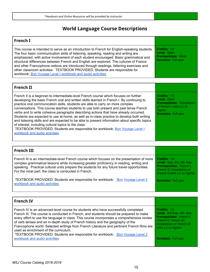# **World Language Course Descriptions**

### **French I** This course is intended to serve as an introduction to French for English-speaking students. The four basic communication skills of listening, speaking, reading and writing are emphasized, with active involvement of each student encouraged. Basic grammatical and structural differences between French and English are explored. The cultures of France and other Francophone nations are introduced through readings, listening exercises and other classroom activities. TEXTBOOK PROVIDED; Students are responsible for workbook; Bon Voyage Level I [workbook](http://www.mheducation.com/prek-12/product/bon-voyage-level-1-workbook-audio-activities-student-edition/S9780078656323.html?scrlybrkr=b100897f#) and audio activities **Credits:** 1.0 **Level:** Open **Prerequisites:**  None **Duration:** Full year

| <b>French II</b>                                                                                                                                                                                                                                                                                                                                                                                                                                                                                                                                                                                                                                                                                                                                                                                                              |                                                                                                                                     |
|-------------------------------------------------------------------------------------------------------------------------------------------------------------------------------------------------------------------------------------------------------------------------------------------------------------------------------------------------------------------------------------------------------------------------------------------------------------------------------------------------------------------------------------------------------------------------------------------------------------------------------------------------------------------------------------------------------------------------------------------------------------------------------------------------------------------------------|-------------------------------------------------------------------------------------------------------------------------------------|
| French II is a beginner-to intermediate-level French course which focuses on further<br>developing the basic French oral and written skills learned in French I. By continuing to<br>practice oral communication skills, students are able to carry on more complex<br>conversations. This course teaches students to use both present and past tense French<br>verbs and to write cohesive paragraphs describing actions that have already occurred.<br>Students are expected to use at-home, as well as in-class practice to develop both writing<br>and listening skills and are expected to be able to present information about specific topics<br>of interest, including cultural topics to the class.<br>TEXTBOOK PROVIDED; Students are responsible for workbook; Bon Voyage Level I<br>workbook and audio activities | Credits: 1.0<br>Level: Open<br><b>Prerequisites: Completion</b><br>of French I with a C or<br>higher.<br><b>Duration: Full year</b> |

| <b>French III</b>                                                                                                                                                                                                                                                                                                                               |                                                                                                                                           |
|-------------------------------------------------------------------------------------------------------------------------------------------------------------------------------------------------------------------------------------------------------------------------------------------------------------------------------------------------|-------------------------------------------------------------------------------------------------------------------------------------------|
| French III is an intermediate-level French course which focuses on the presentation of more<br>complex grammatical lessons while increasing greater proficiency in reading, writing and<br>speaking. Practical cultural units prepare the students for any future travel opportunities.<br>For the most part, the class is conducted in French. | Credits: 1.0<br>Level: 2nd, 3rd, 4th Year<br><b>Prerequisites:</b> French I,<br>French II; Completion of<br>French II with a C or higher. |
| TEXTBOOK PROVIDED: Students are responsible for workbook: Bon Voyage Level 2<br>workbook and audio activities                                                                                                                                                                                                                                   | <b>Duration: Full year</b>                                                                                                                |

| <b>French IV</b>                                                                                                                                                                                                                                                                                                                                                                                                                                                                                                                                                                                                      |                                                                                                                                                                                  |
|-----------------------------------------------------------------------------------------------------------------------------------------------------------------------------------------------------------------------------------------------------------------------------------------------------------------------------------------------------------------------------------------------------------------------------------------------------------------------------------------------------------------------------------------------------------------------------------------------------------------------|----------------------------------------------------------------------------------------------------------------------------------------------------------------------------------|
| French IV is an advanced-level course for students who have successfully completed<br>French III. The course is conducted in French, and students should be prepared to make<br>every effort to use the language in class. This course incorporates a comprehensive review<br>of verb tenses and an in-depth study of French history and the geography of the<br>Francophone world. Selected writings from French Literature and pertinent French films are<br>used as enrichment of the curriculum.<br>TEXTBOOK PROVIDED: Students are responsible for workbook: Bon Voyage Level 2<br>workbook and audio activities | Credits: 1.0<br>Level: 3rd Year, 4th Year<br>Prerequisites: French I,<br>French II, French III;<br>Completion of French III<br>with a C or higher.<br><b>Duration: Full year</b> |
|                                                                                                                                                                                                                                                                                                                                                                                                                                                                                                                                                                                                                       |                                                                                                                                                                                  |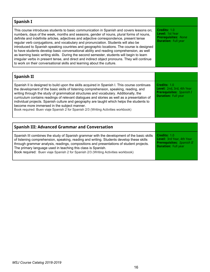| Spanish I                                                                                                                                                                                                                                                                                                                                                                                                                                                                                                                                                                                                                                                                                                                                                                                                                              |                                                                                             |
|----------------------------------------------------------------------------------------------------------------------------------------------------------------------------------------------------------------------------------------------------------------------------------------------------------------------------------------------------------------------------------------------------------------------------------------------------------------------------------------------------------------------------------------------------------------------------------------------------------------------------------------------------------------------------------------------------------------------------------------------------------------------------------------------------------------------------------------|---------------------------------------------------------------------------------------------|
| This course introduces students to basic communication in Spanish and covers lessons on;<br>numbers, days of the week, months and seasons, gender of nouns, plural forms of nouns,<br>definite and indefinite articles, adjectives and adjective correspondence, present tense<br>regular verb conjugations, and vocabulary and pronunciation. Students will also be<br>introduced to Spanish speaking countries and geographic locations. The course is designed<br>to have students develop basic conversational ability and reading comprehension, as well<br>as learning basic writing skills. During the second semester, students will begin to learn<br>irregular verbs in present tense, and direct and indirect object pronouns. They will continue<br>to work on their conversational skills and learning about the culture. | Credits: 1.0<br>Level: 1st Year<br><b>Prerequisites: None</b><br><b>Duration: Full year</b> |

| Spanish II                                                                                                                                                                                                                                                                                                                                                                                                                                                                                                                                                                                                      |                                                                                                            |
|-----------------------------------------------------------------------------------------------------------------------------------------------------------------------------------------------------------------------------------------------------------------------------------------------------------------------------------------------------------------------------------------------------------------------------------------------------------------------------------------------------------------------------------------------------------------------------------------------------------------|------------------------------------------------------------------------------------------------------------|
| Spanish II is designed to build upon the skills acquired in Spanish I. This course continues<br>the development of the basic skills of listening comprehension, speaking, reading, and<br>writing through the study of grammatical structures and vocabulary. Additionally, the<br>curriculum contains readings of relevant dialogues and stories as well as a presentation of<br>individual projects. Spanish culture and geography are taught which helps the students to<br>become more immersed in the subject manner.<br>Book required: Buen viaje Spanish 2 for Spanish 2/3 (Writing Activities workbook) | Credits: 1.0<br>Level: 2nd, 3rd, 4th Year<br><b>Prerequisites:</b> Spanish I<br><b>Duration: Full year</b> |

| <b>Spanish III: Advanced Grammar and Conversation</b>                                                                                                                                                                                                                                                                                                                                                                                  |                                                                                                                    |
|----------------------------------------------------------------------------------------------------------------------------------------------------------------------------------------------------------------------------------------------------------------------------------------------------------------------------------------------------------------------------------------------------------------------------------------|--------------------------------------------------------------------------------------------------------------------|
| Spanish III combines the study of Spanish grammar with the development of the basic skills<br>of listening comprehension, speaking, reading and writing. Students develop these skills<br>through grammar analysis, readings, compositions and presentations of student projects.<br>The primary language used in teaching this class is Spanish.<br>Book required: Buen viaje Spanish 2 for Spanish 2/3 (Writing Activities workbook) | Credits: 1.0<br><b>Level:</b> 3rd Year, 4th Year<br><b>Prerequisites:</b> Spanish II<br><b>Duration: Full year</b> |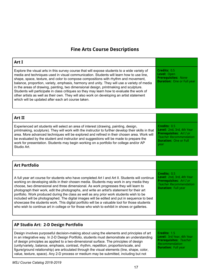# **Fine Arts Course Descriptions**

| Art I                                                                                                                                                                                                                                                                                                                                                                                                                                                                                                                                                                                                                                                                                                                                                                       |                                                                                                                                                      |
|-----------------------------------------------------------------------------------------------------------------------------------------------------------------------------------------------------------------------------------------------------------------------------------------------------------------------------------------------------------------------------------------------------------------------------------------------------------------------------------------------------------------------------------------------------------------------------------------------------------------------------------------------------------------------------------------------------------------------------------------------------------------------------|------------------------------------------------------------------------------------------------------------------------------------------------------|
| Explore the visual arts in this survey course that will expose students to a wide variety of<br>media and techniques used in visual communication. Students will learn how to use line,<br>shape, space, texture, and color to compose compositions with rhythm and movement,<br>balance, proportion, variety, emphasis, harmony and unity. They will use a variety of media<br>in the areas of drawing, painting, two dimensional design, printmaking and sculpture.<br>Students will participate in class critiques so they may learn how to evaluate the work of<br>other artists as well as their own. They will also work on developing an artist statement<br>which will be updated after each art course taken.                                                      | Credits: 0.5<br>Level: Open<br><b>Prerequisites: None</b><br><b>Duration:</b> One or Full year                                                       |
|                                                                                                                                                                                                                                                                                                                                                                                                                                                                                                                                                                                                                                                                                                                                                                             |                                                                                                                                                      |
| Art II                                                                                                                                                                                                                                                                                                                                                                                                                                                                                                                                                                                                                                                                                                                                                                      |                                                                                                                                                      |
| Experienced art students will select an area of interest (drawing, painting, design,<br>printmaking, sculpture). They will work with the instructor to further develop their skills in that<br>area. More advanced techniques will be explored and refined in their chosen area. Work will<br>be evaluated by the student and instructor and suggestions will be made to prepare the<br>work for presentation. Students may begin working on a portfolio for college and/or AP<br>Studio Art.                                                                                                                                                                                                                                                                               | Credits: 0.5<br>Level: 2nd, 3rd, 4th Year<br><b>Prerequisites: Art I or</b><br><b>Teacher Recommendation</b><br><b>Duration: One or Full</b><br>year |
|                                                                                                                                                                                                                                                                                                                                                                                                                                                                                                                                                                                                                                                                                                                                                                             |                                                                                                                                                      |
| <b>Art Portfolio</b>                                                                                                                                                                                                                                                                                                                                                                                                                                                                                                                                                                                                                                                                                                                                                        |                                                                                                                                                      |
|                                                                                                                                                                                                                                                                                                                                                                                                                                                                                                                                                                                                                                                                                                                                                                             |                                                                                                                                                      |
| A full year art course for students who have completed Art I and Art II. Students will continue<br>working on developing skills in their chosen media. Students may work in any media they<br>choose, two dimensional and three dimensional. As work progresses they will learn to<br>photograph their work, edit the photographs, and write an artist's statement for their art<br>portfolio. Work produced during the class as well as any prior work students wish to be<br>included will be photographed. The digital images will be edited and put in sequence to best<br>showcase the students work. This digital portfolio will be a valuable tool for those students<br>who wish to continue art in college or for those who wish to exhibit in shows or galleries. | Credits: 0.5<br>Level: 2nd, 3rd, 4th Year<br><b>Prerequisites: Art I or</b><br><b>Teacher Recommendation</b><br><b>Duration: Full year</b>           |
|                                                                                                                                                                                                                                                                                                                                                                                                                                                                                                                                                                                                                                                                                                                                                                             |                                                                                                                                                      |
| AP Studio Art: 2-D Design Portfolio                                                                                                                                                                                                                                                                                                                                                                                                                                                                                                                                                                                                                                                                                                                                         |                                                                                                                                                      |
| Design involves purposeful decision-making about using the elements and principles of art<br>in an integrative way. In 2-D Design Portfolio, students must demonstrate an understanding<br>of design principles as applied to a two-dimensional surface. The principles of design<br>(unity/variety, balance, emphasis, contrast, rhythm, repetition, proportion/scale, and<br>figure/ground relationship) are articulated through the visual elements (line, shape, color,<br>value, texture, space). Any 2-D process or medium may be submitted, including but not                                                                                                                                                                                                        | Credits: 1.5<br>Level: 3rd Year, 4th Year<br><b>Prerequisites: Teacher</b><br>Recommendation<br><b>Duration: Full year</b>                           |

 $\overline{1}$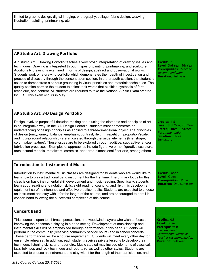| <b>AP Studio Art: Drawing Portfolio</b>                                                                                                                                                                                                                                                                                                                                                                                                                                                                                                                                                                                                                                                                                                                                                                                                             |                                                                                                                                                                        |
|-----------------------------------------------------------------------------------------------------------------------------------------------------------------------------------------------------------------------------------------------------------------------------------------------------------------------------------------------------------------------------------------------------------------------------------------------------------------------------------------------------------------------------------------------------------------------------------------------------------------------------------------------------------------------------------------------------------------------------------------------------------------------------------------------------------------------------------------------------|------------------------------------------------------------------------------------------------------------------------------------------------------------------------|
| AP Studio Art I: Drawing Portfolio teaches a very broad interpretation of drawing issues and<br>techniques. Drawing is interpreted through types of painting, printmaking, and sculpture.<br>Additionally drawing is examined in forms of design, abstract and observational works.<br>Students work on a drawing portfolio which demonstrates their depth of investigation and<br>process of discovery through the concentration section. In the breadth section, the student is<br>asked to demonstrate a serious grounding in visual principles and materials techniques. The<br>quality section permits the student to select their works that exhibit a synthesis of form,<br>technique, and content. All students are required to take the National AP Art Exam created<br>by ETS. This exam occurs in May.                                   | Credits: 1.5<br>Level: 3rd Year, 4th Year<br><b>Prerequisites: Teacher</b><br>Recommendation<br><b>Duration: Full year</b>                                             |
| AP Studio Art: 3-D Design Portfolio                                                                                                                                                                                                                                                                                                                                                                                                                                                                                                                                                                                                                                                                                                                                                                                                                 |                                                                                                                                                                        |
| Design involves purposeful decision-making about using the elements and principles of art<br>in an integrative way. In the 3-D Design Portfolio, students must demonstrate an<br>understanding of design principles as applied to a three-dimensional object. The principles<br>of design (unity/variety, balance, emphasis, contrast, rhythm, repetition, proportion/scale,<br>and figure/ground relationship) are articulated through the visual elements (line, shape,<br>color, value, texture). These issues are to be explored through additive, subtractive, and/or<br>fabrication processes. Examples of approaches include figurative or nonfigurative sculpture,<br>architectural models, metalwork, ceramics, and three-dimensional fiber arts, among others.                                                                            | Credits: 1.5<br>Level: 3rd Year, 4th Year<br><b>Prerequisites: Teacher</b><br>Recommendation<br><b>Duration: Three</b><br>Semesters                                    |
| <b>Introduction to Instrumental Music</b>                                                                                                                                                                                                                                                                                                                                                                                                                                                                                                                                                                                                                                                                                                                                                                                                           |                                                                                                                                                                        |
| Introduction to Instrumental Music classes are designed for students who are would like to<br>learn how to play a traditional band instrument for the first time. The primary focus for this<br>class is on basic instrumental skill development and music reading. Specifically, students<br>learn about reading and notation skills, sight reading, counting, and rhythmic development,<br>equipment care/maintenance and effective practice habits. Students are expected to choose<br>an instrument and stay with it for the length of the course, and are encouraged to enroll in<br>concert band following the successful completion of this course.                                                                                                                                                                                          | <b>Credits: none</b><br>Level: Open<br><b>Prerequisites: None</b><br><b>Duration: One Semester</b>                                                                     |
|                                                                                                                                                                                                                                                                                                                                                                                                                                                                                                                                                                                                                                                                                                                                                                                                                                                     |                                                                                                                                                                        |
| <b>Concert Band</b>                                                                                                                                                                                                                                                                                                                                                                                                                                                                                                                                                                                                                                                                                                                                                                                                                                 |                                                                                                                                                                        |
| This course is open to all brass, percussion, and woodwind players who wish to focus on<br>improving their ensemble playing in a band setting. Development of musicianship and<br>instrumental skills will be emphasized through performance in this band. Students will<br>perform in the community (receiving community service hours) and in school concerts.<br>These performances will be a course requirement. Students will meet every other day for<br>ensemble rehearsal. In addition, each student receives private lessons to develop their<br>technique, listening skills, and repertoire. Music studied may include elements of classical,<br>jazz, folk, pop and rock technique and repertoire, as well as other styles. Students are<br>expected to choose an instrument and stay with it for the length of their participation, and | Credits: 0.5<br>Level: Open<br><b>Prerequisites:</b><br>Introduction to<br><b>Instrumental Music or</b><br><b>Teacher recommendation</b><br><b>Duration: Full year</b> |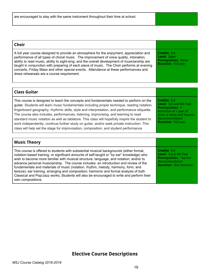| <b>Choir</b>                                                                                                                                                                                                                                                                                                                                                                                                                                                                                                             |                                                                                         |
|--------------------------------------------------------------------------------------------------------------------------------------------------------------------------------------------------------------------------------------------------------------------------------------------------------------------------------------------------------------------------------------------------------------------------------------------------------------------------------------------------------------------------|-----------------------------------------------------------------------------------------|
| A full year course designed to provide an atmosphere for the enjoyment, appreciation and<br>performance of all types of choral music. The improvement of voice quality, intonation,<br>ability to read music, ability to sight-sing, and the overall development of musicianship are<br>taught in conjunction with preparing of each piece of music. The Choir performs at evening<br>concerts, Friday Mass and other special events. Attendance at these performances and<br>dress rehearsals are a course requirement. | Credits: 0.5<br>Level: Open<br><b>Prerequisites: None</b><br><b>Duration: Full year</b> |

| <b>Class Guitar</b>                                                                                                                                                                                                                                                                                                                                                                                                                                                                                                                                                                                                                                                        |                                                                                                                                                                                |
|----------------------------------------------------------------------------------------------------------------------------------------------------------------------------------------------------------------------------------------------------------------------------------------------------------------------------------------------------------------------------------------------------------------------------------------------------------------------------------------------------------------------------------------------------------------------------------------------------------------------------------------------------------------------------|--------------------------------------------------------------------------------------------------------------------------------------------------------------------------------|
| This course is designed to teach the concepts and fundamentals needed to perform on the<br>guitar. Students will learn music fundamentals including proper technique, reading notation,<br>fingerboard geography, rhythmic skills, style and interpretation, and performance etiquette.<br>The course also includes, performances, listening, improvising, and learning to read<br>standard music notation as well as tablature. This class will hopefully inspire the student to<br>work independently, continue further study on guitar, and/or seek private instruction. This<br>class will help set the stage for improvisation, composition, and student performance. | Credits: 0.5<br><b>Level:</b> 3rd and 4th Year<br><b>Prerequisites: A</b><br>minimum of 1 year of<br>choir or band and Teacher<br>Recommendation<br><b>Duration: Full year</b> |

| <b>Music Theory</b>                                                                                                                                                                                                                                                                                                                                                                                                                                                                                                                                                                                                                                                       |                                                                                                                           |
|---------------------------------------------------------------------------------------------------------------------------------------------------------------------------------------------------------------------------------------------------------------------------------------------------------------------------------------------------------------------------------------------------------------------------------------------------------------------------------------------------------------------------------------------------------------------------------------------------------------------------------------------------------------------------|---------------------------------------------------------------------------------------------------------------------------|
| This course is offered to students with substantial musical backgrounds (either formal,<br>notation-based training, or significant amounts of self-taught or "by ear" knowledge) who<br>wish to become more familiar with musical structure, language, and notation; and/or to<br>advance personal musicianship. The course includes: an introduction and review of the<br>fundamentals and materials of music (notation, rhythm, melody, harmony, form, and<br>texture); ear training, arranging and composition; harmonic and formal analysis of both<br>Classical and Pop/Jazz works; Students will also be encouraged to write and perform their<br>own compositions. | Credits: 0.5<br>Level: 3rd & 4th Year<br><b>Prerequisites: Teacher</b><br>Recommendation<br><b>Duration: One Semester</b> |

# **Elective Course Descriptions**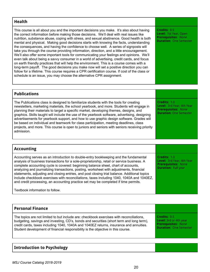### **Health** This course is all about you and the important decisions you make. It's also about having the correct information before making those decisions. We'll deal with real issues like nutrition, substance abuse, coping with stress, and sexual abstinence. Good health is both mental and physical. Making good decisions starts with knowing the facts, understanding the consequences, and having the confidence to choose well. A series of signposts will take you through the course providing information, direction, and a little encouragement. We'll also offer some important tools for communicating your feelings and opinions. We'll even talk about being a savvy consumer in a world of advertising, credit cards, and focus on earth friendly practices that will help the environment. This is a course comes with a long-term payoff. The good decisions you make now will set a positive direction you can follow for a lifetime. This course requires a CPR certification course. If cost of the class or schedule is an issue, you may choose the alternative CPR assignment. **Credits:** 0.5 **Level:** 1st Year, Open **Prerequisites:**  None **Duration:** One Semester

### **Publications** The Publications class is designed to familiarize students with the tools for creating newsletters, marketing materials, the school yearbook, and more. Students will engage in planning their materials to target a specific market, developing themes, designs, and graphics. Skills taught will include the use of the yearbook software, advertising, designing advertisements for yearbook support, and how to use graphic design software. Grades will be based on individual and teamwork for class participation, meeting deadlines, class projects, and more. This course is open to juniors and seniors with seniors receiving priority admission. **Credits:** 1.0 **Level:** 3rd Year, 4th Year **Prerequisites:**  None **Duration:** One Semester

| <b>Accounting</b>                                                                                                                                                                                                                                                                                                                                                                                                                                                                                                                                                                                                                                      |                                                                                                       |
|--------------------------------------------------------------------------------------------------------------------------------------------------------------------------------------------------------------------------------------------------------------------------------------------------------------------------------------------------------------------------------------------------------------------------------------------------------------------------------------------------------------------------------------------------------------------------------------------------------------------------------------------------------|-------------------------------------------------------------------------------------------------------|
| Accounting serves as an introduction to double-entry bookkeeping and the fundamental<br>analysis of business transactions for a sole-proprietorship, retail or service business. A<br>complete accounting cycle is covered: beginning balance sheet, chart of accounts,<br>analyzing and journalizing transactions, posting, worksheet with adjustments, financial<br>statements, adjusting and closing entries, and post closing trial balance. Additional topics<br>include checkbook exercises with reconciliations, taxes including 1040, 1040A and 1040EZ,<br>and credit processing, an accounting practice set may be completed if time permits. | Credits: 1.0<br>Level: 3rd Year, 4th Year<br><b>Prerequisites: None</b><br><b>Duration: Full year</b> |
| Textbook information to follow.                                                                                                                                                                                                                                                                                                                                                                                                                                                                                                                                                                                                                        |                                                                                                       |

| <b>Personal Finance</b>                                                                  |                               |
|------------------------------------------------------------------------------------------|-------------------------------|
| The topics are not limited to but include are: checkbook exercises with reconciliations, | Credits: 0.5                  |
| budgeting, savings and investing, CD's, bonds and securities (short term and long term), | <b>Level:</b> 3rd or 4th year |
| credit cards, taxes including 1040, 1040A and 1040EZ returns, insurance and annuities.   | <b>Prerequisites: None</b>    |
| Student development of financial responsibility is the objective in this course.         | <b>Duration: One Semester</b> |

# **Introduction to Psychology**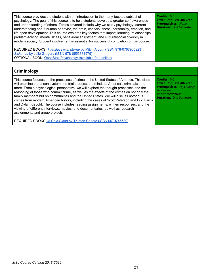| This course provides the student with an introduction to the many-faceted subject of<br>psychology. The goal of this course is to help students develop a greater self-awareness<br>and understanding of others. Topics covered include why we study psychology, current<br>understanding about human behavior, the brain, consciousness, personality, emotion, and<br>life-span development. This course explores key factors that impact learning, relationships,<br>problem-solving, mental illness, behavioral adjustment, and cultural/social diversity in<br>modern society. Student involvement is essential for successful completion of this course. | Credits: 0.5<br>Level: 2nd, 3rd, 4th Year<br><b>Prerequisites: None</b><br><b>Duration: One Semester</b> |
|---------------------------------------------------------------------------------------------------------------------------------------------------------------------------------------------------------------------------------------------------------------------------------------------------------------------------------------------------------------------------------------------------------------------------------------------------------------------------------------------------------------------------------------------------------------------------------------------------------------------------------------------------------------|----------------------------------------------------------------------------------------------------------|
| REQUIRED BOOKS: Tuesdays with Morrie by Mitch Albom (ISBN 978-0767905923):<br>Sickened by Julie Gregory (ISBN 978-0553381979)<br>OPTIONAL BOOK: OpenStax Psychology (available free online)                                                                                                                                                                                                                                                                                                                                                                                                                                                                   |                                                                                                          |

| Criminology                                                                                                                                                                                                                                                                                                                                                                                                                                                                                                                                                                                                                                                                                                                                                                     |                                                                                                                                                |
|---------------------------------------------------------------------------------------------------------------------------------------------------------------------------------------------------------------------------------------------------------------------------------------------------------------------------------------------------------------------------------------------------------------------------------------------------------------------------------------------------------------------------------------------------------------------------------------------------------------------------------------------------------------------------------------------------------------------------------------------------------------------------------|------------------------------------------------------------------------------------------------------------------------------------------------|
| This course focuses on the processes of crime in the United States of America. This class<br>will examine the prison system, the trial process, the minds of America's criminals, and<br>more. From a psychological perspective, we will explore the thought processes and the<br>reasoning of those who commit crime, as well as the effects of the crimes on not only the<br>family members but on communities and the United States. We will discuss notorious<br>crimes from modern American history, including the cases of Scott Peterson and Eric Harris<br>and Dylan Klebold. The course includes reading assignments, written responses, and the<br>viewing of different interviews, movies, and documentaries, as well as research<br>assignments and group projects. | Credits: 0.5<br>Level: 2nd, 3rd, 4th Year<br><b>Prerequisites:</b> Psychology<br>or Teacher<br>Recommendation<br><b>Duration: One Semester</b> |
| REQUIRED BOOKS: In Cold Blood by Truman Capote (ISBN 0679745580)                                                                                                                                                                                                                                                                                                                                                                                                                                                                                                                                                                                                                                                                                                                |                                                                                                                                                |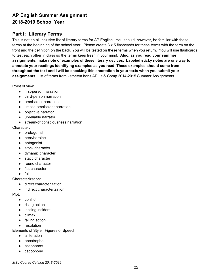# **AP English Summer Assignment 2018-2019 School Year**

# **Part I: Literary Terms**

This is not an all inclusive list of literary terms for AP English. You should, however, be familiar with these terms at the beginning of the school year. Please create 3 x 5 flashcards for these terms with the term on the front and the definition on the back. You will be tested on these terms when you return. You will use flashcards to test each other in class so the terms keep fresh in your mind. **Also, as you read your summer assignments, make note of examples of these literary devices. Labeled sticky notes are one way to annotate your readings identifying examples as you read. These examples should come from throughout the text and I will be checking this annotation in your texts when you submit your assignments.** List of terms from katheryn.hans AP Lit & Comp 2014-2015 Summer Assignments.

Point of view:

- first-person narration
- third-person narration
- omniscient narration
- limited omniscient narration
- objective narrator
- unreliable narrator
- stream-of consciousness narration

Character:

- protagonist
- hero/heroine
- antagonist
- stock character
- dynamic character
- static character
- round character
- flat character
- foil

Characterization:

- direct characterization
- indirect characterization

Plot:

- conflict
- rising action
- inciting incident
- climax
- falling action
- resolution

Elements of Style: Figures of Speech

- alliteration
- apostrophe
- assonance
- cacophony

*MSJ Course Catalog 2018-2019*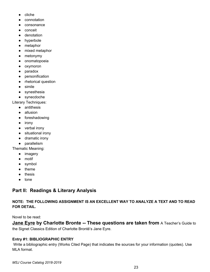- cliche
- connotation
- consonance
- conceit
- denotation
- hyperbole
- metaphor
- mixed metaphor
- metonymy
- onomatopoeia
- oxymoron
- paradox
- personification
- rhetorical question
- simile
- synesthesia
- synecdoche

Literary Techniques:

- antithesis
- allusion
- foreshadowing
- irony
- verbal irony
- situational irony
- dramatic irony
- parallelism

Thematic Meaning:

- imagery
- motif
- symbol
- theme
- thesis
- tone

# **Part II: Readings & Literary Analysis**

**NOTE: THE FOLLOWING ASSIGNMENT IS AN EXCELLENT WAY TO ANALYZE A TEXT AND TO READ FOR DETAIL.**

Novel to be read:

**Jane Eyre by Charlotte Bronte -- These questions are taken from** <sup>A</sup> Teacher's Guide to the Signet Classics Edition of Charlotte Brontë's Jane Eyre.

# **Entry #1: BIBLIOGRAPHIC ENTRY**

Write a bibliographic entry (Works Cited Page) that indicates the sources for your information (quotes). Use MLA format.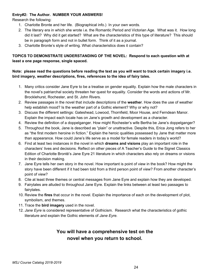# **Entry#2: The Author. NUMBER YOUR ANSWERS!**

Research the following:

- 1. Charlotte Bronte and her life. (Biographical info.) In your own words.
- 2. The literary era in which she wrote i.e. the Romantic Period and Victorian Age. What was it. How long did it last? Why did it get started? What are the characteristics of this type of literature? This should be in paragraph form and not in bullet form. Think of it as a journal.
- 3. Charlotte Bronte's style of writing. What characteristics does it contain?

# **TOPICS TO DEMONSTRATE UNDERSTANDING OF THE NOVEL: Respond to each question with at least a one page response, single spaced.**

# Note: please read the questions before reading the text as you will want to track certain imagery i.e. **bird imagery, weather descriptions, fires, references to the idea of fairy tales.**

- 1. Many critics consider Jane Eyre to be a treatise on gender equality. Explain how the male characters in the novel's patriarchal society threaten her quest for equality. Consider the words and actions of Mr. Brocklehurst, Rochester, and St. John Rivers.
- 2. Review passages in the novel that include descriptions of the **weather**. How does the use of weather help establish mood? Is the weather part of a Gothic element? Why or why not?
- 3. Discuss the different settings: Gateshead, Lowood, Thornfield, Moor House, and Ferndean Manor. Explain the impact each locale has on Jane's growth and development as a character.
- 4. Review the definition of a doppelganger. How might Rochester's wife Bertha be Jane's doppelganger?
- 5. Throughout the book, Jane is described as "plain" or unattractive. Despite this, Erica Jong refers to her as "the first modern heroine in fiction." Explain the heroic qualities possessed by Jane that matter more than appearance. How could Jane's life serve as a model for female readers in today's world?
- 6. Find at least two instances in the novel in which **dreams and visions** play an important role in the characters' lives and decisions. Reflect on other pieces of A Teacher's Guide to the Signet Classics Edition of Charlotte Brontë's Jane Eyre 21 literature in which characters also rely on dreams or visions in their decision making.
- 7. Jane Eyre tells her own story in the novel. How important is point of view in the book? How might the story have been different if it had been told from a third person point of view? From another character's point of view?
- 8. Cite at least three themes or central messages from Jane Eyre and explain how they are developed.
- 9. Fairytales are alluded to throughout Jane Eyre. Explain the links between at least two passages to fairytales.
- 10. Review the **fires** that occur in the novel. Explain the importance of each on the development of plot, symbolism, and themes.
- 11. Trace the **bird imagery** used in the novel.
- 12. *Jane Eyre* is considered representative of Gothicism. Research what the characteristics of gothic literature and explain the Gothic elements of *Jane Eyre.*

# **You will have a comprehensive test on the novel when you return to school.**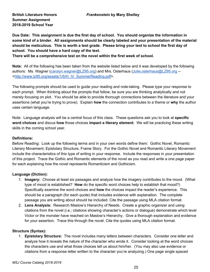**Summer Assignment 2018-2019 School Year**

**Due Date: This assignment is due the first day of school. You should organize the information in some kind of a binder. All assignments should be clearly labeled and your presentation of the material** should be meticulous. This is worth a test grade. Please bring your text to school the first day of **school. You should have a hard copy of the text.**

**There will be a comprehensive test on the novel within the first week of school.**

**Note:** All of the following has been taken from the website listed below and it was developed by the following authors: Ms. Wagner ([carolyn.wagner@LZ95.org\)](mailto:carolyn.wagner@LZ95.org) and Mrs. Osterhaus ([Julie.osterhaus@LZ95.org](mailto:Julie.osterhaus@LZ95.org) -- <[http://www.lz95.org/assets/1/6/H\\_IV\\_SummerReading.pdf](http://www.lz95.org/assets/1/6/H_IV_SummerReading.pdf)>.

The following prompts should be used to guide your reading and note-taking. Please type your response to each prompt. When thinking about the prompts that follow, be sure you are thinking analytically and not merely focusing on plot. You should be able to provide thorough connections between the literature and your assertions (what you're trying to prove). Explain **how** the connection contributes to a theme or **why** the author uses certain language.

Note: Language analysis will be a central focus of this class. These questions ask you to look at **specific word choices** and discus **how** those choices **impact a literary element**. We will be practicing these writing skills in the coming school year.

# **Definitions:**

Before Reading: Look up the following terms and in your own words define them: Gothic Novel, Romantic Literary Movement, Epistolary Structure, Frame Story. For the Gothic Novel and Romantic Literary Movement include the characteristics of this type of writing in your response. Include the responses in your presentation of this project. Trace the Gothic and Romantic elements of the novel as you read and write a one page paper for each explaining how the novel represents Romanticism and Gothicism.

# **Language (Diction):**

- 1. **Imagery:** Choose at least six passages and analyze how the imagery contributes to the mood. (What type of mood is established? **How** do the specific word choices help to establish that mood?) Specifically examine the word choices and **how** the choices impact the reader's experience. This should be a paragraph (for each quote) that includes evidence with explanation. The complete passage you are writing about should be included. Cite the passage using MLA citation format.
- 2. **Lens Analysis:** Research Maslow's Hierarchy of Needs. Create a graphic organizer and using citations from the novel (i.e.; citations showing character's actions or dialogue) demonstrate which level Victor or the monster have reached on Maslow's Hierarchy. Give a thorough explanation and evidence for your assertion. Trace this through the novel. Cite the quotes using MLA citation format.

# **Structure (Syntax):**

1. **Epistolary Structure:** The novel includes many letters between characters. Consider one letter and analyze how it reveals the nature of the character who wrote it. Consider looking at the word choices the characters use and what those choices tell us about him/her. (You may also use evidence or citations from a response letter written to the character you're analyzing.) One page single spaced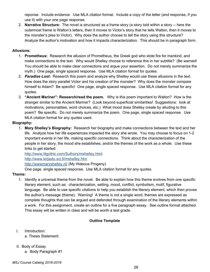reponse. Include evidence. Use MLA citation format. Include a copy of the letter (and response, if you use it) with your one page response.

2. **Narrative Structure:** The novel is structured as a frame story (a story told within a story -- here the outermost frame is Walton's letters, then it moves to Victor's story that he tells Walton, then it moves to the monster's plea to Victor). Why does the author choose to tell the story using this structure? Analyze the author's motivation and how it impacts characterization. This should be in paragraph form.

# **Allusions:**

- 1. **Prometheus:** Research the allusion of Prometheus, the Greek god who stole fire for mankind, and make connections to the text. Why would Shelley choose to reference this in her subtitle? (Be warned! You should be able to make clear connections and argue your assertion. Do not merely summarize the myth.) One page, single spaced response. Use MLA citation format for quotes.
- 2. *Paradise Lost***:** Research this poem and analyze why Shelley would use these allusions in the text. How does the story parallel Victor and his creation of the monster? Why does the monster compare himself to Adam? Be specific! One page, single spaced response. Use MLA citation format for any quotes.
- 3. **"Ancient Mariner": Research/read the poem.** Why is this poem important to Walton? How is the stranger similar to the Ancient Mariner? (Look beyond superficial similarities! Suggestions: look at motivations, personalities, word choices, etc.) What mood does Shelley create by alluding to this poem? Be specific. Do not merely summarize the poem. One page, single spaced response. Use MLA citation format for any quotes used.

# **Biography:**

1. **Mary Shelley's Biography:** Research her biography and make connections between the text and her life. Analyze how her life experiences impacted the story she wrote. You may choose to focus on 1-2 important events in her life, making specific connections. Think about the characterization of the people in her story, the mood she establishes, and/or the themes of the work as a whole. Use these links to get started:

<http://www.litgothic.com/Suthors/mshelley.html> <http://www.kirjasto.sci.fi/mshelley.htm> <http://wwwmaryshelley.nl/> (My Hideous Progeny)

One page, single spaced response. Use MLA citation format for any quotes.

# **Theme:**

1. Identify a universal theme from the novel. Be able to explain how this theme evolves from one specific literary element, such as: characterization, setting, mood, conflict, symbolism, motif, figurative language. Be able to use specific citations to help you establish the literary element, which then proves the author's message (theme). Warning! A theme is not a single word, themes are expressed as complete thoughts that can be argued and defended through examination of the literary elements within a work. For this assignment, create an outline for a five paragraph essay. See outline format attached. This essay will be written in class and will be worth a test grade.

# **Outline Template**

I. Introduction:

a. Thesis Statement:

- II. Body of Essay
	- a. Body Paragraph #1